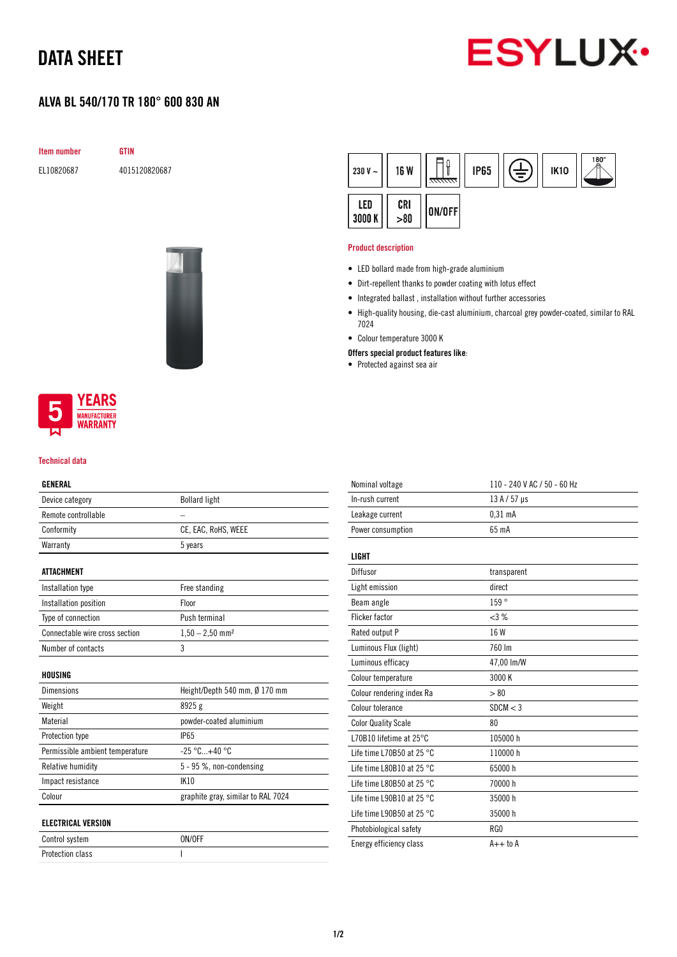# DATA SHEET



## ALVA BL 540/170 TR 180° 600 830 AN

GTIN

|--|

EL10820687 4015120820687



# **YEARS IUFACTURER**

WARRANTY

### Technical data

### GENERAL

| Device category                 | <b>Bollard light</b>               |  |
|---------------------------------|------------------------------------|--|
| Remote controllable             |                                    |  |
| Conformity                      | CE, EAC, RoHS, WEEE                |  |
| Warranty                        | 5 years                            |  |
| <b>ATTACHMENT</b>               |                                    |  |
| Installation type               | Free standing                      |  |
| Installation position           | Floor                              |  |
| Type of connection              | Push terminal                      |  |
| Connectable wire cross section  | $1,50 - 2,50$ mm <sup>2</sup>      |  |
| Number of contacts              | 3                                  |  |
| HOUSING                         |                                    |  |
| Dimensions                      | Height/Depth 540 mm, Ø 170 mm      |  |
| Weight                          | 8925 g                             |  |
| Material                        | powder-coated aluminium            |  |
| Protection type                 | <b>IP65</b>                        |  |
| Permissible ambient temperature | $-25 °C+40 °C$                     |  |
| Relative humidity               | 5 - 95 %, non-condensing           |  |
| Impact resistance               | <b>IK10</b>                        |  |
| Colour                          | graphite gray, similar to RAL 7024 |  |
| <b>ELECTRICAL VERSION</b>       |                                    |  |
| Control system                  | ON/OFF                             |  |
| <b>Protection class</b>         | I                                  |  |

| 230 V $\sim$  | <b>16 W</b> | <del>ललल</del> | <b>IP65</b> | ŧ | <b>IK10</b> | 180°<br>- 八 |
|---------------|-------------|----------------|-------------|---|-------------|-------------|
| LED<br>3000 K | CRI > 80    | ON/OFF         |             |   |             |             |

### Product description

- LED bollard made from high-grade aluminium
- Dirt-repellent thanks to powder coating with lotus effect
- Integrated ballast , installation without further accessories
- High-quality housing, die-cast aluminium, charcoal grey powder-coated, similar to RAL 7024
- Colour temperature 3000 K
- Offers special product features like:
- Protected against sea air

| Nominal voltage                     | 110 - 240 V AC / 50 - 60 Hz |
|-------------------------------------|-----------------------------|
| In-rush current                     | $13A/57$ µs                 |
| Leakage current                     | $0.31$ mA                   |
| Power consumption                   | 65 mA                       |
|                                     |                             |
| LIGHT                               |                             |
| Diffusor                            | transparent                 |
| Light emission                      | direct                      |
| Beam angle                          | 159°                        |
| <b>Flicker factor</b>               | $<3\%$                      |
| Rated output P                      | 16 W                        |
| Luminous Flux (light)               | 760 lm                      |
| Luminous efficacy                   | 47,00 lm/W                  |
| Colour temperature                  | 3000 K                      |
| Colour rendering index Ra           | > 80                        |
| Colour tolerance                    | SDCM < 3                    |
| <b>Color Quality Scale</b>          | 80                          |
| L70B10 lifetime at 25°C             | 105000h                     |
| Life time L70B50 at 25 $^{\circ}$ C | 110000 h                    |
| Life time L80B10 at 25 $^{\circ}$ C | 65000 h                     |
| Life time L80B50 at 25 $^{\circ}$ C | 70000 h                     |
| Life time L90B10 at 25 °C           | 35000 h                     |
| Life time L90B50 at 25 $^{\circ}$ C | 35000 h                     |
| Photobiological safety              | RG0                         |
| Energy efficiency class             | $A++$ to $A$                |
|                                     |                             |